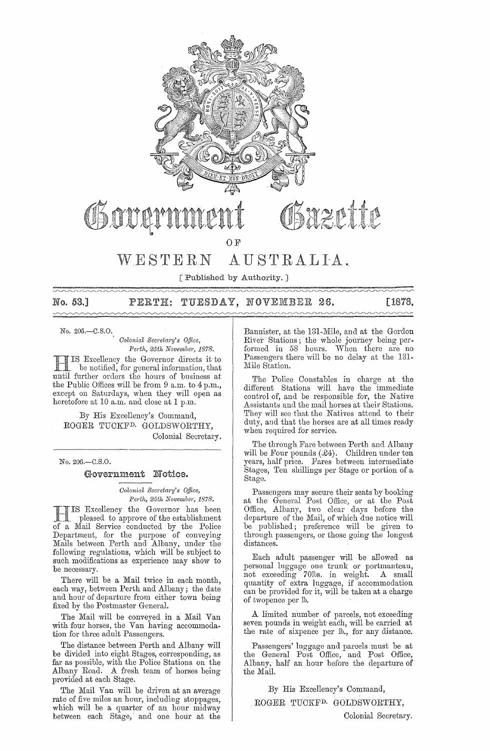

# WESTERN AUSTRALIA.

[Published by Authority. ]

No. 53.] PERTH: TUESDAY, NOVEMBER 26.  $[1878, 1876, 1876, 1876, 1876, 1876, 1876, 1876, 1876, 1876, 1876, 1876, 1876, 1876, 1876, 1876, 1876, 1876, 1876, 1876, 1876, 1876, 1876, 1876, 1876, 1876, 1876, 1876, 1876, 1876, 1$  $\begin{picture}(180,10) \put(0,0){\vector(1,0){100}} \put(10,0){\vector(1,0){100}} \put(10,0){\vector(1,0){100}} \put(10,0){\vector(1,0){100}} \put(10,0){\vector(1,0){100}} \put(10,0){\vector(1,0){100}} \put(10,0){\vector(1,0){100}} \put(10,0){\vector(1,0){100}} \put(10,0){\vector(1,0){100}} \put(10,0){\vector(1,0){100}} \put(10,0){\vector(1,0){100}}$ 

No. 205.-C.8.0.

*Colonial Secreta1'Y's Office, Perth, 25th November, 1878.* 

IIIS Excellency the Governor directs it to<br>
less notified, for general information, that<br>
until further orders the hours of business at IS Excellency the Governor directs it to be notified, for general information, that the Public Offices will be from 9 a.m. to 4 p.m., except on Saturdays, when they will open as heretofore at 10 a.m. and close at 1 p.m.

By His Excellency's Command, ROGER TUOKFD. GOLDSWORTHY, Oolonial Secretary.

No.206.-C.8.0.

#### Government Notice.

*Colonial Secretary's Office, Perth, 25th November, 1878.* 

IS Excellency the Governor has been<br>pleased to approve of the establishment . pleased to approve of the establishment of a Mail Service conducted by the Police Department, for the purpose of conveying Mails between Perth and Albany, under the following regulations, which will be subject to such modifications as experience may show to be necessary.

There will be a Mail twice in each month, each way, between Perth and Albany; the date and hour of departure from either town being fixed by the Postmaster General.

The Mail will be conveyed in a Mail Van with four horses, the Van having accommodation for three adult Passengers.

The distance between Perth and Albany will be divided into eight Stages, corresponding, as far as possible, with the Police Stations. on the Albany Road. A fresh team of horses being provided at each Stage.

The Mail Van will be driven at an average rate of five miles an hour, including stoppages, which will be a quarter of an hour midway between each Stage, and one hour at the

Bannister, at the 131-Mile, and at the Gordon River Stations; the whole journey being performed in 58 hours. When there are no Passengers there will be no delay at the 131-Mile Station.

The Police Oonstables in charge at the different Stations will have the immediate control of, and be responsible for, the Native Assistants and the mail horses at their Stations. They will sce that the Natives attend to their duty, aml that the horses are at all times ready when required for service.

The through Fare between Perth and Albany will be Four pounds  $(£4)$ . Children under ten years, half price. Fares between intermediate Stages, Ten shillings per Stage or portion of a Stage.

Passengers may secure their seats by booking at the General Post Office, or at the Post Office, Albany, two clear days before the departure of the Mail, of which due notice will be published; preference will he given to through passengers, or those going the longest distances.

Each adult passenger will be allowed as personal luggage one trunk or portmanteau, not exceeding 70lbs. in weight. A small quantity of extra luggage, if accommodation can be provided for it, will be taken at a charge of twopence per lb.

A limited number of parcels, not exceeding seven pounds in weight each, will be carried at the rate of sixpence per lb., for any distance.

Passengers' luggage and parcels must be at the General Post Office, and Post Office, Albany, half an hour before the departure of the Mail.

By His Excellency's Command,

ROGER TUOKFD. GOLDSWORTHY,

Colonial Secretary.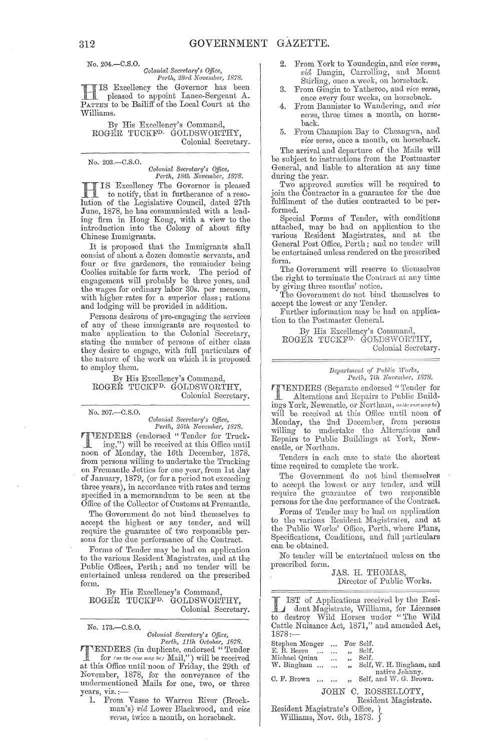No. 204.-C.S.0.

*Colonial Secretary's Office,* 

*Perth, 23rd November, 1878.*<br>IS Excellency the Governor has been **H IS Excellency the Governor has been**<br>pleased to appoint Lance-Sergeant A. PATTEN to be Bailiff of the Local Court at the Williams.

By His Excellency's Command, ROGER TUCKFD, GOLDSWORTHY, Colonial Secretary.

No. 203.-C.S.0.

*Colonial Secretary's Office,*<br>Perth, 18th November, 1878.

Excellency The Governor is pleased to notify, that in furtherance of a resolution of the Legislative Council, dated 27th June, 1878, he has communicated with a leading firm in Hong Kong, with a view to the introduction into the Colony of about fifty Chinese Immigrants.

It is proposed that the Immigrants shall consist of about a dozen domestic servants, and four or five gardeners, the remainder being Coolies suitable for farm work. The period of engagement will probably be three years, and the wages for ordinary labor 30s. per mensem, with higher rates for a superior class; rations and lodging will be provided in addition.

Persons desirous of pre-engaging the services of any of these immigrants are requested to make application to the Colonial Secretary, stating the number of persons of either class they desire to engage, with full particulars of the nature of the work on which it is proposed to employ them.

By His Excellency's Command, ROGER TUCKF<sup>D.</sup> GOLDSWORTHY, Colonial Secretary.

No. 207.-C.S.O.

No. 173.-C.S.O.

*Colonial 8ecl'etm'y's O.mee, Perth, 25th Novembc)', 1878.* 

**TENDERS** (endorsed "Tender for Truck-<br>ing ") will be verified. ing,") will be received at this Offiee until noon of Monday, the 16th December, 1878. from persons willing to undertake the Trucking on Fremantle Jetties for one year, from 1st day of January, 1879, (or for a period not exceeding three years), in accordance with rates and terms specified in a memorandum to be seen at the Office of the Collector of Customs at Fremantle.

The Government do not bind themselves to accept the highest or any tender, and will require the guarantee of two responsible persons for the due performance of the Contract.

Forms of Tender may be had on application to the various Resident Magistrates, and at the Public Offices, Perth; and no tender will be entertained unless rendered on the prescribed form.

By His Excellency's Command, ROGER TUCKFD. GOLDSWORTHY, Colonial Secretary.

*Colonial Secretary's Office,*<br> *Perth, 11th October, 1878.*<br> **PENDERS** (in duplicate, endorsed "Tender<br>
for *(as the case may be)* Mail,") will be received at this Office until noon of Friday, the 29th of November, 1878, for the conveyance of the undermentioned Mails for one, two, or three undermentioned Mails for one, two, or three<br>years, viz. :—<br>1. From Vasse to Warren River (Brock-

man's) *vid* Lower Blackwood, and *vice versa*, twice a month, on horseback.

- 2. From York to Youndegin, and *vice versa*, *vid* Dangin, Carrolling, and Mount Stirling, once a week, on horseback.
- 3. From Gingin to Yatheroo, and *vice versa*, once every four weeks, on horseback.
- 4. From Bannister to Wandering, and *vice versa,* three times a month, on horseback.
- 5. From Champion Bay to Cheangwa, and *vice versa*, once a month, on horseback.

The arrival and departure of the Mails will be subject to instructions from the Postmaster General, and liable to alteration at any time during the year.

Two approved sureties will be required to join the Contractor in a guarantee for the due fulfilment of the duties contracted to be performed.

Special Forms of Tender, with conditions attached, may be had on application to the various Resident Magistrates, and at the General Post Office, Perth; and no tender will be entertained unless rendered on the prescribed form.

The Government will reserve to tliemselves the right to terminate the Contract at any time by giving three months' notice.

The Government do not bind themselves to accept the lowest or any Tender.

Further information may be had on application to the Postmaster Geneml.

By His Excellency's Command, ROGER TUCKF<sup>D.</sup> GOLDSWORTHY, Colonial Secretary.

# *Department of Public Work*<br>*Perth, 7th November,*

TENDERS (Separate endorsed "Tender for Alterations and Repairs to Public Buildings York, Newcastle, or Northam, as the case may be) will be received at this Office until noon of Monday, the 2nd December, from persons willing to undertake tho Alterations and Repairs to Public Buildings at York, Newcastle, or Northam.

Tenders in each ease to state the shortest time required to complete the work.

The Government do not bind themselves to accept the lowest or any tonder, and will require the guarantee of two responsible persons for the due performance of the Contract.

Forms of Tender may be had on application to the various Resident Magistrates, and at the Public Works' Office, Perth, where Plans, Specifications, Conditions, and full particulars can be obtained.

No tender will be entertained unless on the prescribed form.

JAS. H. THOMAS, Director of Public Works.

L IST of Applications received by the Resi-<br>
dent Magistrate, Williams, for Licenses to destroy Wild Horses under "The Wild Cattle Nuisance Act, 1871," and amended Act, 1878:-

| Stephen Monger                                                     | $\cdots$                         | For Self.                |
|--------------------------------------------------------------------|----------------------------------|--------------------------|
|                                                                    |                                  |                          |
| E. B. Beere                                                        | $\ddotsc$                        | Self.                    |
| Michael Quinn                                                      | $\cdots$<br>$\ddot{\phantom{a}}$ | Self.                    |
| $W.$ Bingham $\ldots$ $\ldots$                                     | ,                                | Self, W. H. Bingham, and |
|                                                                    |                                  | native Johnny.           |
| C. F. Brown                                                        |                                  | Self, and W. G. Brown.   |
|                                                                    |                                  | JOHN C. ROSSELLOTY.      |
|                                                                    |                                  |                          |
|                                                                    |                                  | Resident Magistrate.     |
| $D_{\text{odd}}$ ant Magistrate <sup>2</sup> $\Omega_{\text{mod}}$ |                                  |                          |

Resident Magistrate's Office, Williams, Nov. 6th, 1878. J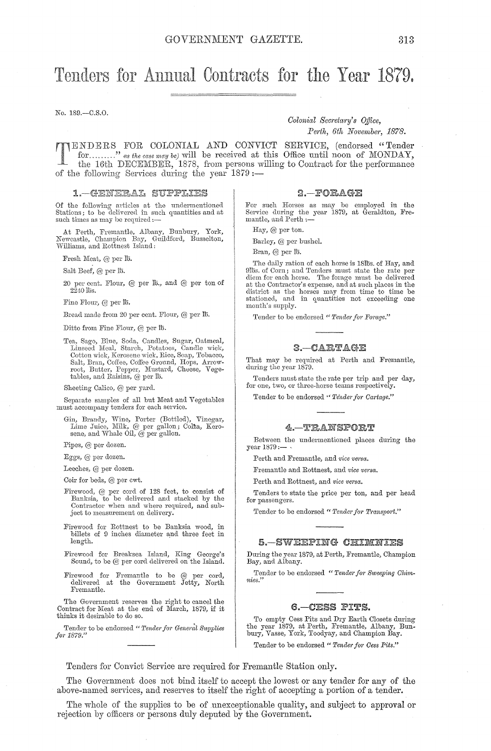# Tenders for Annual Contracts for the Year 1879.

No. 189.-C.S.0.

*Colonial Secretary's Office,* Perth, 6th November, 1878.

ENDERS FOR COLONIAL AND CONVICT SERVICE, (endorsed "Tender for ......... " *as the case may be)* will be received at this Office until noon of MONDAY, the 16th DECEMBER, 1878, from persons willing to Contract for the performance of the following Services during the year  $1879$  :-

#### 1. - GENERAL SUPPLIES

Of the following articles at the undermentioned<br>Stations; to be delivered in such quantities and at such times as may be required :-

At Perth, Fremantle, Albany, Bunbury, York, Newcastle, Champion Bay, Guildford, Busselton, Williams, and Rottnest Island:

Fresh Meat, @ per Ih.

Salt Beef, @ per Ih.

20 per cent. Flour, @ per Ih., and @ per ton of  $2240$  lbs.

Fine Flour, @ per Ih.

Bread made from 20 per cent. Flour, @ per lb.

Ditto from Fine Flour, @ per lb.

Tea, Sago, Blue, Soda, Candles, Sugar, Oatmeal,<br>Linseed Meal, Starch, Potatoes, Candle wick,<br>Cotton wick, Kerosene wick, Rice, Soap, Tobacco, Salt, Bran, Coffee, Coffee Ground, Hops, Arrow-<br>root, Butter, Pepper, Mustard, Cheese, Vege-<br>tables, and Raisins, @ per lb.

Sheeting Calico, @ per yard.

Separate samples of all but Meat and Vegetables must accompany tenders for each service.

Gin, Brandy, Wine, Porter (Bottled), Vinegar, Lime Juice, Milk, @ per gallon; Col<sup>2</sup>za, Kerosene, and Whale Oil, @ per gallon.

Pipes, @ per dozen.

Eggs, @ per dozen.

Leeches, @ per dozen.

Coir for beds, @ per cwt.

- Firewood, @ per cord of 128 feet, to consist of Banksia, to be delivered and stacked by the Contractor when and where required, and subject to measurement on delivery.
- Firewood for Rottnest to be Banksia wood, in billets of 9 inches diameter and three feet in length.
- Firewood for Brcaksea Island, King George's Sound, to he @ per cord delivered on the Island.
- Firewood for Fremantle to be @ per cord,<br>delivered at the Government Jetty, North Fremantle.

The Government reserves the right to cancel the Contract for Meat at the end of March, 1879, if it thinks it desirable to do so.

Tender to be endorsed " *Tender for General Supplies* for 1879."

#### $2 - FORAGE$

For such Horses as may be employed in the Service during the year 1879, at Geraldton, Fremantle, and Perth :-

Hay, @ per ton.

Barley,  $@$  per bushel.

Bran, @ per lb.

The daily ration of each horse is 181bs. of Hay, and 9fbs. of Corn; and Tenders must state the rate per<br>diem for each horse. The forage must be delivered<br>at the Contractor's expense, and at such places in the<br>district as the horses may from time to time be<br>stationed, and in month's supply.

Tender to be endorsed " Tender for Forage."

#### $3 - CARTAGE$

That may be required at Perth and Fremantle, during the year 1879.

Tenders must state the rate per trip and per day, for one, two, or three-horse teams respectively.

Tender to be endorsed " Tender for Cartage."

#### $4 - \mathrm{TRANSPOR} \mathbb{T}$

Between the undermentioned places during the year 1879:-

Perth and Fremantle, and *vice versa*.

Fremantle and Rottnest, and *vice versa*.

Perth and Rottnest, and *vice versa*.

Tenders to state the price per ton, and per head for passengers.

Tender to be endorsed " Tender for Transport."

#### 5.—SWEEPING CHIMNIES

During the year 1879, at Perth, Fremantle, Champion Bay, and Albany.

Tender to be endorsed "Tender for Sweeping Chim*nies."* 

#### 6.-CESS PITS.

To empty Cess Pits and Dry Earth Closets during the year 1879, at Perth, Fremantle, Albany, Bun-<br>bury, Vasse, York, Toodyay, and Champion Bay.

Tender to be endorsed " Tender for Cess Pits."

Tenders for Convict Service are required for Fremantle Station only.

The Government does not bind itself to accept the lowest or any tender for any of the above-named services, and reserves to itself the right of accepting a portion of a tender.

The whole of the supplies to be of unexceptionable quality, and subject to approval or rejection by officers or persons duly deputed by the Government.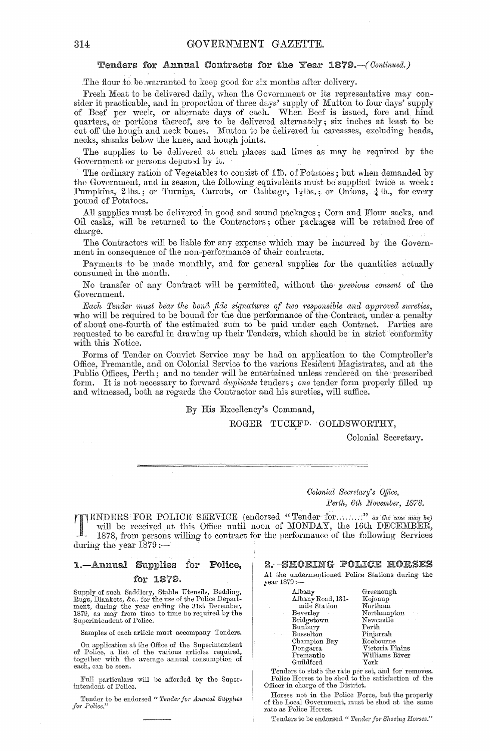#### Tenders for Annual Contracts for the Year *1879.-(Contimled.)*

The flour to be warranted to keep good for six months after delivery.

Fresh Meat to be delivered daily, when the Government or its representative may consider it practicable, and in proportion of three days' supply of Mutton to four days' supply of Beef per week, or alternate days of each. When Beef is issued, fore and hind quarters, or portions thereof, are to be delivered alternately; six inches at least to be cut off the hough and neck bones. Mutton to be delivered in carcasses, excluding heads, necks, shanks below the knee, and hough joints.

The supplies to be delivered at such places and times as may be required by the Government or persons deputed by it.

The ordinary ration of Vegetables to consist of llb. of Potatoes; but when demanded by the Government, and in season, the following equivalents must be supplied twice a week: Pumpkins, 2 lbs.; or Turnips, Carrots, or Cabbage, 1<sup>1</sup><sub>2</sub>lbs.; or Onions, <sup>1</sup><sub>4</sub> lb., for every pound of Potatoes.

All supplies must be delivered in good and sound packages; Corn and Flour sacks, and Oil casks, will be returned to the Contractors; other packages will be retained free of charge.

The Contractors will be liable for any expense which may be incurred by the Government in consequence of the non-performance of their contracts.

Payments to be made monthly, and for general supplies for the quantities actually consumed in the month.

No transfer of any Contract will be permitted, without the *previous consent* of the Government.

Each Tender must bear the bona fide signatures of two responsible and approved surcties, who will be required to be bound for the due performance of the Contract, under a penalty of about one-fourth of the estimated sum to be paid under each Contract. Parties are requested to be careful in drawing up their Tenders, which should be in strict conformity with this Notice.

Forms of Tender on Convict Service may be had on application to the Comptroller's Office, Fremantle, and on Colonial Service to the various Resident Magistrates, and at the Public Offices, Perth; and no tender will be entertained unless rendered on the prescribed form. It is not necessary to forward *duplicate* tenders; *one* tender form properly filled up and witnessed, both as regards the Contractor and his sureties, will suffice.

By His Excellency'S Command,

#### ROGER TUCKFD. GOLDSWORTHY,

Colonial Secretary.

 $Colonial$  Secretary's Office, Perth, 6th November, 1878.

TENDERS FOR POLICE SERVICE (endorsed "Tender for ........" *as the case may be*) will be received at this Office until noon of MONDAY, the 16th DECEMBER, 1878, from persons willing to contract for the performance of the fo will be received at this Office until noon of MONDAY, the 16th DECEMBER, 1878, from persons willing to contract for the performance of the following Services during the year  $1879$  :-

# 1.—Annual Supplies for Police, for 1879.

Supply of such Saddlery, Stable Utensils, Bedding, Rugs, Blankets, &c., for the use of the Police Depart-ment, during the year ending the 31st December, 1879, as may from time to time be required by the Superintendent of Police.

Samples of each article must accompany Tenders.

On application at the Office of the Superintendent of Police, a list of the various articles required, together with the average annual consumption of each, can be seen.

Full particulars will be afforded by the Superintendent of Police.

Tender to be endorsed " Tender for Annual Supplies for Police.'

2.-SHOEING POLICE HORSES

At the undermentioned Police Stations during the year 1879 :-

| Albany                        | Greenough                    |
|-------------------------------|------------------------------|
| Albany Road, 131-             | Kojonup                      |
| mile Station                  | Northam                      |
| Beverley                      | Northampton                  |
| Bridgetown<br><b>Contract</b> | Newcastle<br>$\alpha = 2\pi$ |
| Bunbury                       | Perth                        |
| <b>Busselton</b>              | Pinjarrah                    |
| Champion Bay                  | Roebourne                    |
| Dongarra                      | Victoria Plains              |
| Fremantle                     | Williams River               |
| Guildford                     | York                         |
|                               |                              |

Tenders to state the rate per set, and for removes. Police Horses to be shod to the satisfaction of the Officer in charge of the District.

Horses not in the Police Force, but the property of the Local Government, must be shod at the same rate as Police Horses.

'Tenders to be endorsed " Tender for Shoeing Horses."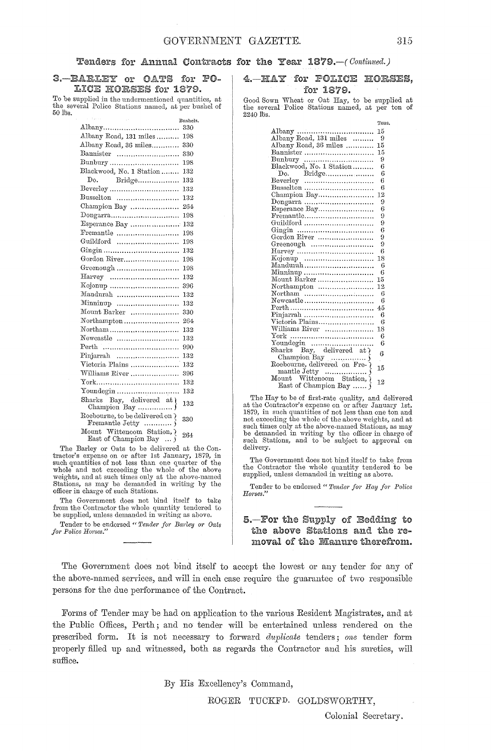#### Tenders for Annual Contracts for the Year 1879.-( *Continued.)*

3. BARLEY or OATS for PO-LICE HORSES for 1879.

To be supplied in the undermentioned quantities, at the several Police Stations named, at per bushel of  $50$   $lbs.$ 

|                                                         | Bushels. |
|---------------------------------------------------------|----------|
|                                                         | 330      |
| Albany Road, 131 miles                                  | 198      |
| Albany Road, 36 miles                                   | 330      |
| Bannister                                               | 330      |
| Bunbury                                                 | 198      |
| Blackwood, No. 1 Station                                | 132      |
| Do.<br>$\operatorname{Bridge}\dots$                     | 132      |
| Beverley                                                | 132      |
| Busselton                                               | 132      |
| Champion Bay                                            | 264      |
| Dongarra                                                | 198      |
| Esperance Bay                                           | 132      |
| Fremantle                                               | 198      |
| Guildford                                               | 198      |
|                                                         | 132      |
| Gordon River                                            | 198      |
|                                                         | 198      |
|                                                         | 132      |
|                                                         | 396      |
| Mandurah                                                | 132      |
| Minninup                                                | 132      |
| Mount Barker                                            | 330      |
| Northampton                                             | 264      |
|                                                         | 132      |
| Newcastle                                               | 132      |
| Perth                                                   | 990      |
| $\text{Pinjarrah}$                                      | 132      |
| Victoria Plains                                         | 132      |
| Williams River                                          | 396      |
|                                                         | 132      |
| Youndegin                                               | 132      |
| Sharks Bay, delivered at \                              | 132      |
| Roebourne, to be delivered on ?                         | 330      |
| Mount Wittenoom Station, $\}$ East of Champion Bay $\}$ | 264      |

The Barley or Oats to be delivered at the Contractor's expense on or after 1st January, 1879, in<br>such quantities of not less than one quarter of the<br>whole and not exceeding the whole of the above<br>weights, and at such times only at the above-named<br>Stations, as may be

The Government does not bind itself to take from the Contractor the whole quantity tendered to be supplied, unless demanded in writing as above.

Tender to be endorsed " Tender for Barley or Oats *fo), Police Horses."* 

4. HAY for POLICE HORSES, for 1879.

Good Sown Wheat or Oat Hay, to be supplied at the several Police Stations named, at per ton of 2240 lbs.

|                                     | Tons. |
|-------------------------------------|-------|
|                                     | 15    |
| Albany Road, 131 miles              | 9     |
| Albany Road, 36 miles               | 15    |
| Bannister                           | 15    |
|                                     | 9     |
| Bunbury<br>Blackwood, No. 1 Station | 6     |
| Do. Bridge                          | 6     |
| Beverley                            | 6     |
| Busselton                           | 6     |
| Champion Bay                        | 12    |
|                                     | 9     |
|                                     | 6     |
|                                     | 9     |
| Guildford                           | 9     |
|                                     | 6     |
| Gordon River                        | 9     |
| Greenough                           | 9     |
|                                     | 6     |
|                                     | 18    |
| Mandurah                            | 6     |
| Minninup                            | 6     |
| Mount Barker                        | 15    |
| Northampton                         | 12    |
| Northam                             | 6     |
| Newcastle                           | 6     |
|                                     | 45    |
|                                     | 6     |
| Victoria Plains                     | 6     |
| Williams River                      | 18    |
|                                     | 6     |
|                                     | 6     |
|                                     | 6     |
|                                     |       |
|                                     | 15    |
|                                     |       |
| Mount Wittenoom Station,            | 12    |
| East of Champion Bay                |       |

The Hay to be of first-rate quality, and delivered at the Contractor's expense on or after January 1st, 1879, in such quantities of not less than one ton and<br>not exceeding the whole of the above weights, and at<br>such times only at the above-named Stations, as may<br>be demanded in writing by the officer in charge of<br>such Station delivery.

The Government does not bind itself to take from the Contractor the whole quantity tendered to be supplied, unless demanded in writing as above.

Tender to be endorsed " Tender for Hay for Police *H01·ses."* 

### 5.-For the Supply of Bedding to the above Stations and the removal of the Manure therefrom.

The Government does not bind itself to accept the lowest or any tender for any of the above-named services, and will in each case require the guarantee of two responsible persons for the due performance of the Contract.

Forms of Tender may be had on application to the various Resident Magistrates, and at the Public Offices, Perth; and no tender will be entertained unless rendered on the prescribed form. It is not necessary to forward *dupliccde* tenders; *one* tender form properly filled up and witnessed, both as regards the Contractor and his sureties, will suffice.

By His Excellency's Command,

ROGER TUCKFD. GOLDSWORTHY,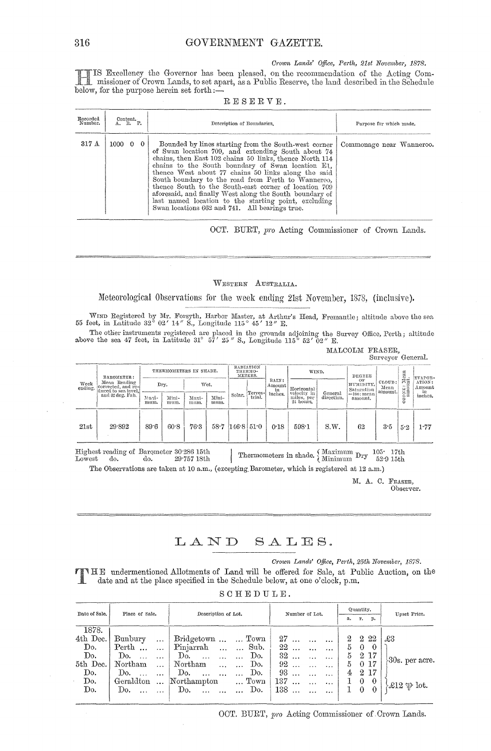#### *Crown Lands' Office, Perth, 21st November, 1878.*

Excellency the Governor has been pleased, on the recommendation of the Acting Oommissioner of Orown Lrmds, to set apart, as a Public Reserve, the hnd described in the Schedule below, for the purpose herein set forth $:=$ 

| Recorded<br>Number. | Content.<br>A. R. P.   | Description of Boundaries.                                                                                                                                                                                                                                                                                                                                                                                                                                                                                                                                            | Purpose for which made.  |  |  |  |  |
|---------------------|------------------------|-----------------------------------------------------------------------------------------------------------------------------------------------------------------------------------------------------------------------------------------------------------------------------------------------------------------------------------------------------------------------------------------------------------------------------------------------------------------------------------------------------------------------------------------------------------------------|--------------------------|--|--|--|--|
| 317A                | $1000 \quad 0 \quad 0$ | Bounded by lines starting from the South-west corner<br>of Swan location 709, and extending South about 74<br>chains, then East 102 chains 50 links, thence North 114<br>chains to the South boundary of Swan location E1,<br>thence West about 77 chains 50 links along the said<br>South boundary to the road from Perth to Wanneroo,<br>thence South to the South-east corner of location 709<br>aforesaid, and finally West along the South boundary of<br>last named location to the starting point, excluding<br>Swan locations 662 and 741. All bearings true. | Commonage near Wanneroo. |  |  |  |  |

RESERVE.

OCT. BURT, *pro* Acting Commissioner of Crown Lands.

#### WESTERN AUSTRALIA.

## Meteorological Observations for the week ending 21st November, 1878, (inclusive).

WIND Registered by Mr. Forsyth, Harbor Master, at Arthur's Head, Fremantle; altitude above the sea<br>55 feet, in Latitude 32° 02′ 14″ S., Longitude 115° 45′ 12″ E.

The other instruments registered are placed in the grounds adjoining the Survey Office, Perth; altitude above the sea 47 feet, in Latitude 31° 57' 25" S., Longitude 115° 52' 02" E.

MALCOLM FRASER, Surveyor General.

| Week<br>ending. | BAROMETER:                                                |               | THERMOMETERS IN SHADE. |               |               | RADIATION<br>THERMO-                                                 | METERS. |         | WIND.                                  |                       | <b>DEGREE</b>            |     | я<br>e<br>Bu          | EVAPOR-  |                              |
|-----------------|-----------------------------------------------------------|---------------|------------------------|---------------|---------------|----------------------------------------------------------------------|---------|---------|----------------------------------------|-----------------------|--------------------------|-----|-----------------------|----------|------------------------------|
|                 | Mean Reading<br>corrected, and re-<br>duced to sea level. |               | Dry.                   |               | Wet.          | RAIN:<br>OF<br>HUMIDITY.<br>Amount<br>Horizontal<br>Saturation<br>in |         | Terres- |                                        |                       | Mean                     |     | CLOUD:<br><br>amount. |          | ಗದ<br>ATION:<br>Amount<br>in |
|                 | and 32 deg. Fah.                                          | Maxi-<br>mum. | Mini-<br>mum.          | Maxi-<br>mum. | Mini-<br>mum. | Solar.                                                               | trial.  | inches. | velocity in<br>miles, per<br>24 hours. | General<br>direction. | $=100$ : mean<br>amount. |     | OXE:<br>Ñ<br>$\circ$  | inches.  |                              |
| 21st            | 29.892                                                    | 89.6          | 60.8                   | 76.3          |               | $58.7 \; 146.8 \; 51.0$                                              |         | 0.18    | 598:1                                  | $S_{\cdot}W$          | 62                       | 3.5 | 5.2                   | $1.77\,$ |                              |

Highest reading of Barometer 30.286 15th<br>Lowest do. do. 29.757 18th Highest reading of Barometer 30.286 15th I . Thermometers in shade.  $\left\{\begin{array}{l}\text{Maximum }\text{Dry}\text{ }105\text{ }17\text{th}\\\text{Lowers}\text{ }\text{do.}\end{array}\right.\quad\left\{\begin{array}{l}\text{Maximum }\text{Dry}\text{ }105\text{ }17\text{th}\end{array}\right.$ 

The Observations are taken at 10 a.m., (excepting Barometer, which is registered at 12 a.m.)

M. A. C. FRAsER, Observer.

# LAND SALES.

 $Crown$  Lands' Office, Perth, 25th November, 1878.

T HE undermentioned Allotments of Land will be offered for Sale, at Public Auction, on the date and at the place specified in the Schedule below, at one o'clock, p.m.

|  | SCHEDULE. |  |  |  |  |
|--|-----------|--|--|--|--|
|  |           |  |  |  |  |

| Date of Sale. | Place of Sale.  |              | Description of Lot.     |               | Number of Lot.  |           |          | Quantity.      |              |                | Upset Price.                         |  |
|---------------|-----------------|--------------|-------------------------|---------------|-----------------|-----------|----------|----------------|--------------|----------------|--------------------------------------|--|
|               |                 |              |                         |               | r. p.<br>а.     |           |          |                |              |                |                                      |  |
| 1878.         |                 |              |                         |               |                 |           |          |                |              |                |                                      |  |
| 4th Dec.      | Bunbury         | $\ddotsc$    | Bridgetown   Town       |               | 27              |           | $\cdots$ |                |              | $2\;\;2\;\;22$ | £3                                   |  |
| Do.           | Perth           | $\mathbf{L}$ | Pinjarrah   Sub.        |               | 22              | $\ddotsc$ | $\cdots$ | 5.             | $\theta$     | $\theta$       |                                      |  |
| Do.           | Do.<br>$\cdots$ |              | Do.<br>$\cdots$         | Do.           | 32              |           | $\cdots$ | 5.             |              | 2 17           |                                      |  |
| 5th Dec.      | Northam         | $\ddotsc$    | Northam<br>$\mathbf{1}$ | Do.           | 92              |           |          | $5 -$          |              | 0 17           | $80s.$ per acre.                     |  |
| Do.           | Do.<br>$\sim$   |              | Do.<br>$\cdots$         | Do.           | 93              |           | $\cdots$ | 4 <sub>1</sub> | $^{2}$       | -17            |                                      |  |
| Do.           | Geraldton       | $\ddotsc$    | Northampton             | $\ldots$ Town | 137             |           | $\ldots$ |                | $\mathbf{0}$ | $\theta$       |                                      |  |
| Do.           | Do.             |              | Do. $\dots$ $\dots$     | $\ldots$ Do.  | 138<br>$\ddots$ |           | $\cdots$ |                | $\theta$     | $\overline{0}$ | $\mathcal{L}12 \oplus \mathrm{lot.}$ |  |
|               |                 |              |                         |               |                 |           |          |                |              |                |                                      |  |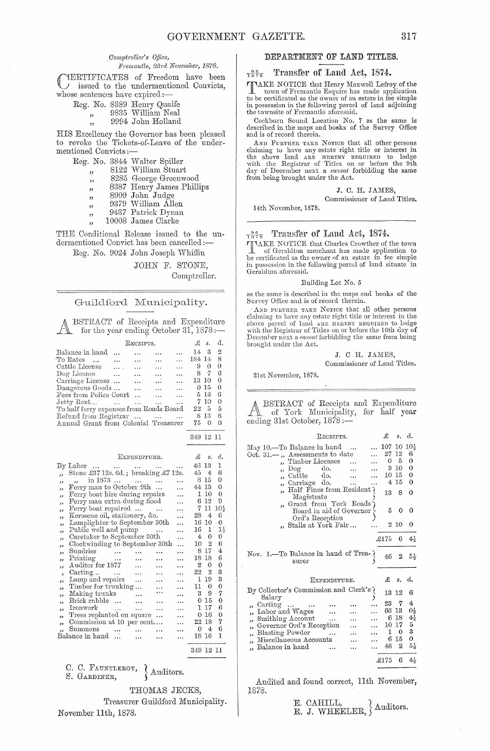#### Comptroller's Office,

#### Fremantle, 23rd November, 1878.

YERTIFICATES of Freedom have been issued to the undermentioned Convicts, whose sentences have expired:-

|  | Reg. No. 8389 Henry Quaife |
|--|----------------------------|
|  | 9835 William Neal          |

 $,$ 

9994 John Holland

HIS Excellency the Governor has been pleased to revoke the Tickets-of-Leave of the undermentioned Convicts:-

 $\begin{minipage}{.4\linewidth} \textbf{Reg. No. 3844 Walter Spiller} \textbf{,} \quad 8122 \textbf{ William Stuart} \end{minipage}$ 

- 
- 8285 George Greenwood  $,$
- 8387 Henry James Phillips  $,$
- 8909 John Judge  $,$
- 9379 William Allen
- $\overline{\mathbf{z}}$ 9437 Patrick Dynan
- $, ,$
- 10008 James Clarke

THE Conditional Release issued to the undermentioned Convict has been cancelled :-

Reg. No. 9024 John Joseph Whiffin

JOHN F. STONE,

Comptroller.

 $\mathfrak{L}$  s. d.

349 12 11

#### Guildford Municipality.

BSTRACT of Receipts and Expenditure for the year ending October  $31,1878$ :

|                                         |                 | RECEIPTS.     |                   |           | £      | $S_{\star}$ | đ.       |
|-----------------------------------------|-----------------|---------------|-------------------|-----------|--------|-------------|----------|
| Balance in hand                         |                 |               |                   |           | 14     | З           | -2       |
| To Rates<br>$\sim$ $\sim$               |                 |               |                   |           | 184 14 |             | 8        |
| Cattle License                          | $\ldots$        | $\ddotsc$     |                   |           | 9      | 0           | 0        |
| Dog License                             |                 |               |                   | $\ddotsc$ | 8      | 7           | 6        |
| Carriage License                        |                 | $\sim$ $\sim$ | $\cdots$          | $\ddotsc$ | 13 10  |             | 0        |
| Dangerous Goods                         |                 | $\cdots$      |                   | $\ddotsc$ |        | $0\,15$     | 0        |
| Fees from Police Court                  |                 |               |                   | $\cdots$  |        | 5 13        | 6        |
| Jetty Rent                              | <b>Contract</b> | $\sim$ $\sim$ |                   | .         |        | 710         | $\bf{0}$ |
| To half ferry expenses from Roads Board |                 |               |                   |           | 22     | - 5         | 5        |
| Refund from Registrar                   |                 |               | $\cdots$ $\cdots$ |           |        | 8-13        | 8        |
| Annual Grant from Colonial Treasurer    |                 |               |                   |           | 75     |             | ∩        |
|                                         |                 |               |                   |           | 349    | 12.11       |          |

#### EXPENDITURE.

|                          | $\mathrm{By}\ \mathrm{Labor}\ \dots \ \dots \ \dots$ |                                  |           |           | .                    | 46 13 |          | 1               |
|--------------------------|------------------------------------------------------|----------------------------------|-----------|-----------|----------------------|-------|----------|-----------------|
| $\overline{\phantom{a}}$ | Stone £37 12s. 6d.; breaking £7 12s.                 |                                  |           |           |                      | 45    | 4        | 6               |
| دد                       | in 1873<br>.,                                        |                                  |           |           | $\cdots$             |       | 815      | 0               |
| دد                       | Ferry man to October 9th                             |                                  |           |           | $\ddotsc$            | 44 13 |          | 0               |
| دد                       | Ferry boat hire during repairs                       |                                  |           |           | $\ddotsc$            | 1     | 10       | 0               |
| دد                       | Ferry man extra during flood                         |                                  |           |           | $\ddotsc$            |       | 612      | 9               |
| ,,                       | Ferry boat repaired                                  |                                  |           |           | $\mathbf{A}$         | 7.    | 11       | 10 <sub>x</sub> |
| ,,                       | Kerosene oil, stationery, &c.                        |                                  |           |           | $\cdots$             | 28    | 4        | 6               |
| ,,                       | Lamplighter to September 30th                        |                                  |           |           | $\ddotsc$            | 16 10 |          | 0               |
| $\overline{\phantom{a}}$ | Public well and pump                                 |                                  |           |           | .                    | 16    | 1        | $1\frac{1}{2}$  |
| دد                       | Caretaker to September 30th                          |                                  |           |           | .                    | 4.    | $\Omega$ | 0               |
|                          | Clockwinding to September 30th                       |                                  |           |           | $\ddotsc$            | 10    | 2        | 6               |
| 33                       | Sundries                                             | $\sim$                           | $\cdots$  |           |                      | 8     | 17       | 4               |
| و و                      |                                                      |                                  |           |           | $\cdots$             | 18.   | 18       | 6               |
| 5.5                      | Printing<br>Auditor for 1877                         |                                  | $\ddotsc$ | .         |                      | 2     | 0        | 0               |
| ,,                       |                                                      |                                  | .         |           | .                    | 22    | 2        | 3               |
| ,                        | Carting                                              |                                  | $\ddotsc$ | $\ddotsc$ | $\ddotsc$            | T     |          | 3               |
| دد                       | Lamp and repairs                                     |                                  | $\cdots$  | $\ldots$  | $\ddotsc$            |       | 19       |                 |
| دد                       | Timber for trunking                                  |                                  |           |           | $\ddotsc$            | 11.   | 0        | 0               |
| $\overline{\phantom{a}}$ | Making trunks                                        |                                  | $\ddotsc$ |           |                      | 3.    | 9        | 7               |
| ,,                       | Brick rubble                                         |                                  | .         |           | .                    | 0.    | 15       | 0               |
| ,,                       | Ironwork                                             |                                  | $\cdots$  | .         | $\ddotsc$            | L     | 17       | 6               |
| $\overline{\phantom{a}}$ | Trees replanted on square                            |                                  |           | $\ddotsc$ | $\ddot{\phantom{a}}$ | 0.    | 16       | 0               |
| ,,                       | Commission at 10 per cent                            |                                  |           |           | $\ddotsc$            | 22 18 |          | 7               |
|                          | Summons                                              | $\sim$ $\sim$ $\sim$<br>$\cdots$ |           | $\cdots$  | $\ddotsc$            | 0     | 4        | 6               |
|                          | Balance in hand                                      |                                  |           |           | .                    | 18 16 |          | $\mathbf{I}$    |
|                          |                                                      |                                  |           |           |                      |       |          |                 |

C. C. FAUNTLEROY, Auditors. S. GARDINER,

> THOMAS JECKS, Treasurer Guildford Municipality.

November 11th, 1878.

### DEPARTMENT OF LAND TITLES.

#### $\frac{9.5}{1.87}$ Transfer of Land Act, 1874.

TAKE NOTICE that Henry Maxwell Lefroy of the town of Fremantle Esquire has made application<br>to be certificated as the owner of an estate in fee simple in possession in the following parcel of land adjoining the townsite of Fremantle aforesaid.

Cockburn Sound Location No. 7 as the same is described in the maps and books of the Survey Office and is of record therein.

AND FURTHER TAKE NOTICE that all other persons claiming to have any estate right title or interest in the above land ARE HEREBY REQUIRED to lodge with the Registrar of Titles on or before the 9th day of December next a *caveat* forbidding the same from being brought under the Act.

#### J. C. H. JAMES,

Commissioner of Land Titles. 14th November, 1878.

#### $\frac{96}{1878}$  Transfer of Land Act, 1874.

TIAKE NOTICE that Charles Crowther of the town of Geraldton merchant has made application to be certificated as the owner of an estate in fee simple in possession in the following parcel of land situate in Geraldton aforesaid.

#### Building Lot No. 5

as the same is described in the maps and books of the Survey Office and is of record therein.

AND FURTHER TAKE NOTICE that all other persons claiming to have any estate right title or interest in the above parcel of land ARE HEREBY REQUIRED to lodge with the Registrar of Titles on or before the 16th day of December next a caveat forbidding the same from being brought under the Act.

# J. C H. JAMES,

Commissioner of Land Titles.

21st November, 1878

BSTRACT of Receipts and Expenditure a.<br>B of York Municipality, for half year ending 31st October, 1878:-

| RECEIPTS.                                                                                                                                                                                                                                  | £                     | s.                                                | đ.                                                          |
|--------------------------------------------------------------------------------------------------------------------------------------------------------------------------------------------------------------------------------------------|-----------------------|---------------------------------------------------|-------------------------------------------------------------|
| May 10.—To Balance in hand<br>Oct. $31 -$ , Assessments to date<br>Timber Licenses<br>$\operatorname{Do\!}$<br>do.<br>$\operatorname{Cattle}$<br>do.<br>,,<br>Carriage do.<br>Half Fines from Resident<br>Magistrate                       | 107<br>27.<br>0<br>13 | 10<br>12<br>5<br>3 10<br>1015<br>4 15<br>8        | $10\frac{1}{2}$<br>6<br>0<br>0<br>$\Omega$<br>$\Omega$<br>0 |
| , Grant from York Roads<br>Board in aid of Governor<br>Ord's Reception                                                                                                                                                                     | 5<br>2                | 0<br>-10                                          | 0<br>0                                                      |
| " Stalls at York Fair                                                                                                                                                                                                                      | £175                  | 6                                                 | $4\frac{1}{2}$                                              |
| Nov. 1.—To Balance in hand of Trea-<br>surer                                                                                                                                                                                               | 46                    | 2                                                 | 54                                                          |
| EXPENDITURE.                                                                                                                                                                                                                               | £                     | s.                                                | d.                                                          |
| By Collector's Commission and Clerk's<br>Salarv                                                                                                                                                                                            | 13                    | 12                                                | 6                                                           |
| $\alpha$ carting<br><b>Seattle Street</b><br>Labor and Wages<br>,,<br>Smithing Account<br>$\cdots$<br>دد<br>Governor Ord's Reception<br>دد<br><b>Blasting Powder</b><br>دد<br>Miscellaneous Accounts<br>د د<br>Balance in hand<br>$\cdots$ | 23<br>6<br>1<br>46    | 7<br>66 13<br>18<br>$10\,$ $17$<br>0<br>6 15<br>2 | 4<br>$0\frac{1}{2}$<br>$4\frac{1}{2}$<br>5<br>3<br>0<br>5,  |

Audited and found correct, 11th November, 1878.

|  | E. CAHILL.                |  |
|--|---------------------------|--|
|  | R. J. WHEELER. { Auditors |  |